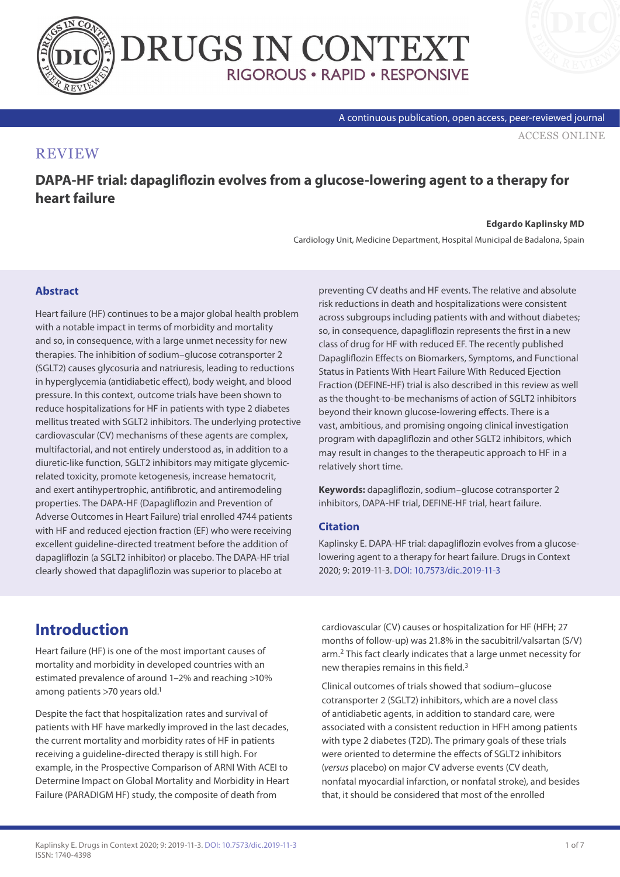

A continuous publication, open access, peer-reviewed journal

[ACCESS ONLINE](https://www.drugsincontext.com/dapa-hf-trial:-dapagliflozin-evolves-from-a-glucose-lowering-agent-to-a-therapy-for-heart-failure/)

### **REVIEW**

**DAPA-HF trial: dapagliflozin evolves from a glucose-lowering agent to a therapy for heart failure**

#### **Edgardo Kaplinsky MD**

Cardiology Unit, Medicine Department, Hospital Municipal de Badalona, Spain

### **Abstract**

Heart failure (HF) continues to be a major global health problem with a notable impact in terms of morbidity and mortality and so, in consequence, with a large unmet necessity for new therapies. The inhibition of sodium–glucose cotransporter 2 (SGLT2) causes glycosuria and natriuresis, leading to reductions in hyperglycemia (antidiabetic effect), body weight, and blood pressure. In this context, outcome trials have been shown to reduce hospitalizations for HF in patients with type 2 diabetes mellitus treated with SGLT2 inhibitors. The underlying protective cardiovascular (CV) mechanisms of these agents are complex, multifactorial, and not entirely understood as, in addition to a diuretic-like function, SGLT2 inhibitors may mitigate glycemicrelated toxicity, promote ketogenesis, increase hematocrit, and exert antihypertrophic, antifibrotic, and antiremodeling properties. The DAPA-HF (Dapagliflozin and Prevention of Adverse Outcomes in Heart Failure) trial enrolled 4744 patients with HF and reduced ejection fraction (EF) who were receiving excellent guideline-directed treatment before the addition of dapagliflozin (a SGLT2 inhibitor) or placebo. The DAPA-HF trial clearly showed that dapagliflozin was superior to placebo at

preventing CV deaths and HF events. The relative and absolute risk reductions in death and hospitalizations were consistent across subgroups including patients with and without diabetes; so, in consequence, dapagliflozin represents the first in a new class of drug for HF with reduced EF. The recently published Dapagliflozin Effects on Biomarkers, Symptoms, and Functional Status in Patients With Heart Failure With Reduced Ejection Fraction (DEFINE-HF) trial is also described in this review as well as the thought-to-be mechanisms of action of SGLT2 inhibitors beyond their known glucose-lowering effects. There is a vast, ambitious, and promising ongoing clinical investigation program with dapagliflozin and other SGLT2 inhibitors, which may result in changes to the therapeutic approach to HF in a relatively short time.

**Keywords:** dapagliflozin, sodium–glucose cotransporter 2 inhibitors, DAPA-HF trial, DEFINE-HF trial, heart failure.

### **Citation**

Kaplinsky E. DAPA-HF trial: dapagliflozin evolves from a glucoselowering agent to a therapy for heart failure. Drugs in Context 2020; 9: 2019-11-3. [DOI: 10.7573/dic.2019-11-3](http://doi.org/10.7573/dic.2019-11-3)

## **Introduction**

Heart failure (HF) is one of the most important causes of mortality and morbidity in developed countries with an estimated prevalence of around 1–2% and reaching >10% among patients  $>70$  years old.<sup>1</sup>

Despite the fact that hospitalization rates and survival of patients with HF have markedly improved in the last decades, the current mortality and morbidity rates of HF in patients receiving a guideline-directed therapy is still high. For example, in the Prospective Comparison of ARNI With ACEI to Determine Impact on Global Mortality and Morbidity in Heart Failure (PARADIGM HF) study, the composite of death from

cardiovascular (CV) causes or hospitalization for HF (HFH; 27 months of follow-up) was 21.8% in the sacubitril/valsartan (S/V) arm.2 This fact clearly indicates that a large unmet necessity for new therapies remains in this field.3

Clinical outcomes of trials showed that sodium–glucose cotransporter 2 (SGLT2) inhibitors, which are a novel class of antidiabetic agents, in addition to standard care, were associated with a consistent reduction in HFH among patients with type 2 diabetes (T2D). The primary goals of these trials were oriented to determine the effects of SGLT2 inhibitors (*versus* placebo) on major CV adverse events (CV death, nonfatal myocardial infarction, or nonfatal stroke), and besides that, it should be considered that most of the enrolled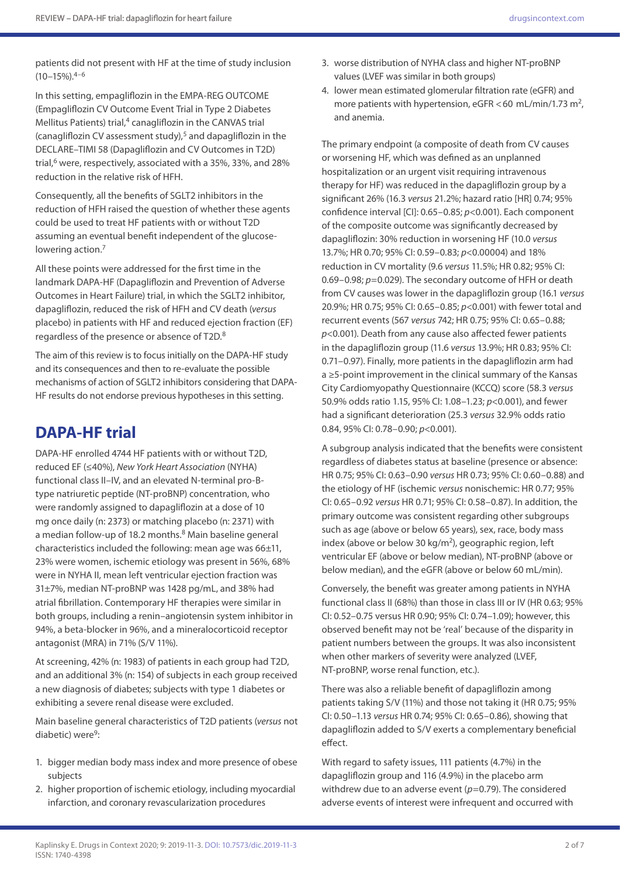patients did not present with HF at the time of study inclusion  $(10-15\%)^{4-6}$ 

In this setting, empagliflozin in the EMPA-REG OUTCOME (Empagliflozin CV Outcome Event Trial in Type 2 Diabetes Mellitus Patients) trial, $4$  canagliflozin in the CANVAS trial (canagliflozin CV assessment study), $5$  and dapagliflozin in the DECLARE–TIMI 58 (Dapagliflozin and CV Outcomes in T2D) trial, $6$  were, respectively, associated with a 35%, 33%, and 28% reduction in the relative risk of HFH.

Consequently, all the benefits of SGLT2 inhibitors in the reduction of HFH raised the question of whether these agents could be used to treat HF patients with or without T2D assuming an eventual benefit independent of the glucoselowering action.<sup>7</sup>

All these points were addressed for the first time in the landmark DAPA-HF (Dapagliflozin and Prevention of Adverse Outcomes in Heart Failure) trial, in which the SGLT2 inhibitor, dapagliflozin, reduced the risk of HFH and CV death (*versus* placebo) in patients with HF and reduced ejection fraction (EF) regardless of the presence or absence of T2D.8

The aim of this review is to focus initially on the DAPA-HF study and its consequences and then to re-evaluate the possible mechanisms of action of SGLT2 inhibitors considering that DAPA-HF results do not endorse previous hypotheses in this setting.

## **DAPA-HF trial**

DAPA-HF enrolled 4744 HF patients with or without T2D, reduced EF (≤40%), *New York Heart Association* (NYHA) functional class II–IV, and an elevated N-terminal pro-Btype natriuretic peptide (NT-proBNP) concentration, who were randomly assigned to dapagliflozin at a dose of 10 mg once daily (n: 2373) or matching placebo (n: 2371) with a median follow-up of 18.2 months. $8$  Main baseline general characteristics included the following: mean age was 66±11, 23% were women, ischemic etiology was present in 56%, 68% were in NYHA II, mean left ventricular ejection fraction was 31±7%, median NT-proBNP was 1428 pg/mL, and 38% had atrial fibrillation. Contemporary HF therapies were similar in both groups, including a renin–angiotensin system inhibitor in 94%, a beta-blocker in 96%, and a mineralocorticoid receptor antagonist (MRA) in 71% (S/V 11%).

At screening, 42% (n: 1983) of patients in each group had T2D, and an additional 3% (n: 154) of subjects in each group received a new diagnosis of diabetes; subjects with type 1 diabetes or exhibiting a severe renal disease were excluded.

Main baseline general characteristics of T2D patients (*versus* not diabetic) were<sup>9</sup>:

- 1. bigger median body mass index and more presence of obese subjects
- 2. higher proportion of ischemic etiology, including myocardial infarction, and coronary revascularization procedures
- 3. worse distribution of NYHA class and higher NT-proBNP values (LVEF was similar in both groups)
- 4. lower mean estimated glomerular filtration rate (eGFR) and more patients with hypertension, eGFR <60 mL/min/1.73 m<sup>2</sup>, and anemia.

The primary endpoint (a composite of death from CV causes or worsening HF, which was defined as an unplanned hospitalization or an urgent visit requiring intravenous therapy for HF) was reduced in the dapagliflozin group by a significant 26% (16.3 *versus* 21.2%; hazard ratio [HR] 0.74; 95% confidence interval [CI]: 0.65–0.85; *p*<0.001). Each component of the composite outcome was significantly decreased by dapagliflozin: 30% reduction in worsening HF (10.0 *versus* 13.7%; HR 0.70; 95% CI: 0.59–0.83; *p*<0.00004) and 18% reduction in CV mortality (9.6 *versus* 11.5%; HR 0.82; 95% CI: 0.69–0.98; *p*=0.029). The secondary outcome of HFH or death from CV causes was lower in the dapagliflozin group (16.1 *versus* 20.9%; HR 0.75; 95% CI: 0.65–0.85; *p*<0.001) with fewer total and recurrent events (567 *versus* 742; HR 0.75; 95% CI: 0.65–0.88; *p*<0.001). Death from any cause also affected fewer patients in the dapagliflozin group (11.6 *versus* 13.9%; HR 0.83; 95% CI: 0.71–0.97). Finally, more patients in the dapagliflozin arm had a ≥5-point improvement in the clinical summary of the Kansas City Cardiomyopathy Questionnaire (KCCQ) score (58.3 *versus* 50.9% odds ratio 1.15, 95% CI: 1.08–1.23; *p*<0.001), and fewer had a significant deterioration (25.3 *versus* 32.9% odds ratio 0.84, 95% CI: 0.78–0.90; *p*<0.001).

A subgroup analysis indicated that the benefits were consistent regardless of diabetes status at baseline (presence or absence: HR 0.75; 95% CI: 0.63–0.90 *versus* HR 0.73; 95% CI: 0.60–0.88) and the etiology of HF (ischemic *versus* nonischemic: HR 0.77; 95% CI: 0.65–0.92 *versus* HR 0.71; 95% CI: 0.58–0.87). In addition, the primary outcome was consistent regarding other subgroups such as age (above or below 65 years), sex, race, body mass index (above or below 30 kg/m2), geographic region, left ventricular EF (above or below median), NT-proBNP (above or below median), and the eGFR (above or below 60 mL/min).

Conversely, the benefit was greater among patients in NYHA functional class II (68%) than those in class III or IV (HR 0.63; 95% CI: 0.52–0.75 versus HR 0.90; 95% CI: 0.74–1.09); however, this observed benefit may not be 'real' because of the disparity in patient numbers between the groups. It was also inconsistent when other markers of severity were analyzed (LVEF, NT-proBNP, worse renal function, etc.).

There was also a reliable benefit of dapagliflozin among patients taking S/V (11%) and those not taking it (HR 0.75; 95% CI: 0.50–1.13 *versus* HR 0.74; 95% CI: 0.65–0.86), showing that dapagliflozin added to S/V exerts a complementary beneficial effect.

With regard to safety issues, 111 patients (4.7%) in the dapagliflozin group and 116 (4.9%) in the placebo arm withdrew due to an adverse event ( $p=0.79$ ). The considered adverse events of interest were infrequent and occurred with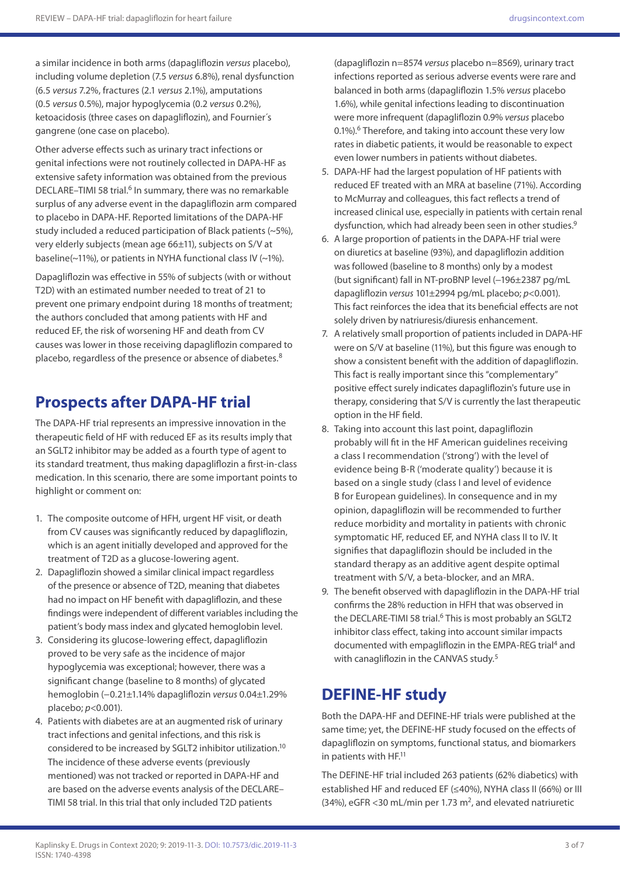a similar incidence in both arms (dapagliflozin *versus* placebo), including volume depletion (7.5 *versus* 6.8%), renal dysfunction (6.5 *versus* 7.2%, fractures (2.1 *versus* 2.1%), amputations (0.5 *versus* 0.5%), major hypoglycemia (0.2 *versus* 0.2%), ketoacidosis (three cases on dapagliflozin), and Fournier´s gangrene (one case on placebo).

Other adverse effects such as urinary tract infections or genital infections were not routinely collected in DAPA-HF as extensive safety information was obtained from the previous DECLARE–TIMI 58 trial.<sup>6</sup> In summary, there was no remarkable surplus of any adverse event in the dapagliflozin arm compared to placebo in DAPA-HF. Reported limitations of the DAPA-HF study included a reduced participation of Black patients (~5%), very elderly subjects (mean age 66±11), subjects on S/V at baseline(~11%), or patients in NYHA functional class IV (~1%).

Dapagliflozin was effective in 55% of subjects (with or without T2D) with an estimated number needed to treat of 21 to prevent one primary endpoint during 18 months of treatment; the authors concluded that among patients with HF and reduced EF, the risk of worsening HF and death from CV causes was lower in those receiving dapagliflozin compared to placebo, regardless of the presence or absence of diabetes.<sup>8</sup>

# **Prospects after DAPA-HF trial**

The DAPA-HF trial represents an impressive innovation in the therapeutic field of HF with reduced EF as its results imply that an SGLT2 inhibitor may be added as a fourth type of agent to its standard treatment, thus making dapagliflozin a first-in-class medication. In this scenario, there are some important points to highlight or comment on:

- 1. The composite outcome of HFH, urgent HF visit, or death from CV causes was significantly reduced by dapagliflozin, which is an agent initially developed and approved for the treatment of T2D as a glucose-lowering agent.
- 2. Dapagliflozin showed a similar clinical impact regardless of the presence or absence of T2D, meaning that diabetes had no impact on HF benefit with dapagliflozin, and these findings were independent of different variables including the patient's body mass index and glycated hemoglobin level.
- 3. Considering its glucose-lowering effect, dapagliflozin proved to be very safe as the incidence of major hypoglycemia was exceptional; however, there was a significant change (baseline to 8 months) of glycated hemoglobin (−0.21±1.14% dapagliflozin *versus* 0.04±1.29% placebo; *p*<0.001).
- 4. Patients with diabetes are at an augmented risk of urinary tract infections and genital infections, and this risk is considered to be increased by SGLT2 inhibitor utilization.10 The incidence of these adverse events (previously mentioned) was not tracked or reported in DAPA-HF and are based on the adverse events analysis of the DECLARE– TIMI 58 trial. In this trial that only included T2D patients

(dapagliflozin n=8574 *versus* placebo n=8569), urinary tract infections reported as serious adverse events were rare and balanced in both arms (dapagliflozin 1.5% *versus* placebo 1.6%), while genital infections leading to discontinuation were more infrequent (dapagliflozin 0.9% *versus* placebo 0.1%).<sup>6</sup> Therefore, and taking into account these very low rates in diabetic patients, it would be reasonable to expect even lower numbers in patients without diabetes.

- 5. DAPA-HF had the largest population of HF patients with reduced EF treated with an MRA at baseline (71%). According to McMurray and colleagues, this fact reflects a trend of increased clinical use, especially in patients with certain renal dysfunction, which had already been seen in other studies.<sup>9</sup>
- 6. A large proportion of patients in the DAPA-HF trial were on diuretics at baseline (93%), and dapagliflozin addition was followed (baseline to 8 months) only by a modest (but significant) fall in NT-proBNP level (-196±2387 pg/mL dapagliflozin *versus* 101±2994 pg/mL placebo; *p*<0.001). This fact reinforces the idea that its beneficial effects are not solely driven by natriuresis/diuresis enhancement.
- 7. A relatively small proportion of patients included in DAPA-HF were on S/V at baseline (11%), but this figure was enough to show a consistent benefit with the addition of dapagliflozin. This fact is really important since this "complementary" positive effect surely indicates dapagliflozin's future use in therapy, considering that S/V is currently the last therapeutic option in the HF field.
- 8. Taking into account this last point, dapagliflozin probably will fit in the HF American guidelines receiving a class I recommendation ('strong') with the level of evidence being B-R ('moderate quality') because it is based on a single study (class I and level of evidence B for European guidelines). In consequence and in my opinion, dapagliflozin will be recommended to further reduce morbidity and mortality in patients with chronic symptomatic HF, reduced EF, and NYHA class II to IV. It signifies that dapagliflozin should be included in the standard therapy as an additive agent despite optimal treatment with S/V, a beta-blocker, and an MRA.
- 9. The benefit observed with dapagliflozin in the DAPA-HF trial confirms the 28% reduction in HFH that was observed in the DECLARE-TIMI 58 trial.<sup>6</sup> This is most probably an SGLT2 inhibitor class effect, taking into account similar impacts documented with empagliflozin in the EMPA-REG trial<sup>4</sup> and with canagliflozin in the CANVAS study.<sup>5</sup>

# **DEFINE-HF study**

Both the DAPA-HF and DEFINE-HF trials were published at the same time; yet, the DEFINE-HF study focused on the effects of dapagliflozin on symptoms, functional status, and biomarkers in patients with HF.<sup>11</sup>

The DEFINE-HF trial included 263 patients (62% diabetics) with established HF and reduced EF (≤40%), NYHA class II (66%) or III (34%), eGFR <30 mL/min per 1.73 m<sup>2</sup>, and elevated natriuretic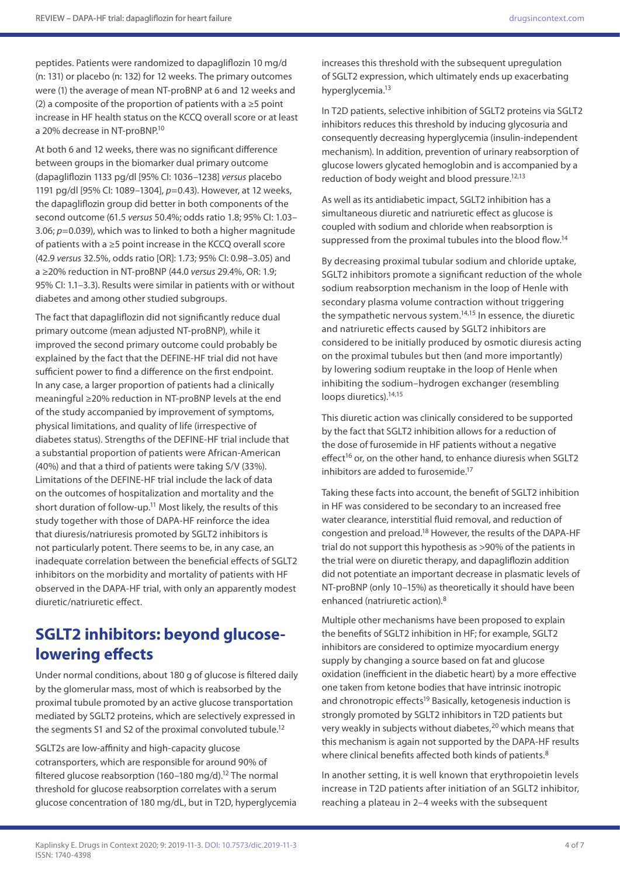peptides. Patients were randomized to dapagliflozin 10 mg/d (n: 131) or placebo (n: 132) for 12 weeks. The primary outcomes were (1) the average of mean NT-proBNP at 6 and 12 weeks and (2) a composite of the proportion of patients with a ≥5 point increase in HF health status on the KCCQ overall score or at least a 20% decrease in NT-proBNP.10

At both 6 and 12 weeks, there was no significant difference between groups in the biomarker dual primary outcome (dapagliflozin 1133 pg/dl [95% CI: 1036–1238] *versus* placebo 1191 pg/dl [95% CI: 1089–1304], *p*=0.43). However, at 12 weeks, the dapagliflozin group did better in both components of the second outcome (61.5 *versus* 50.4%; odds ratio 1.8; 95% CI: 1.03– 3.06; *p*=0.039), which was to linked to both a higher magnitude of patients with a ≥5 point increase in the KCCQ overall score (42.9 *versus* 32.5%, odds ratio [OR]: 1.73; 95% CI: 0.98–3.05) and a ≥20% reduction in NT-proBNP (44.0 *versus* 29.4%, OR: 1.9; 95% CI: 1.1–3.3). Results were similar in patients with or without diabetes and among other studied subgroups.

The fact that dapagliflozin did not significantly reduce dual primary outcome (mean adjusted NT-proBNP), while it improved the second primary outcome could probably be explained by the fact that the DEFINE-HF trial did not have sufficient power to find a difference on the first endpoint. In any case, a larger proportion of patients had a clinically meaningful ≥20% reduction in NT-proBNP levels at the end of the study accompanied by improvement of symptoms, physical limitations, and quality of life (irrespective of diabetes status). Strengths of the DEFINE-HF trial include that a substantial proportion of patients were African-American (40%) and that a third of patients were taking S/V (33%). Limitations of the DEFINE-HF trial include the lack of data on the outcomes of hospitalization and mortality and the short duration of follow-up.<sup>11</sup> Most likely, the results of this study together with those of DAPA-HF reinforce the idea that diuresis/natriuresis promoted by SGLT2 inhibitors is not particularly potent. There seems to be, in any case, an inadequate correlation between the beneficial effects of SGLT2 inhibitors on the morbidity and mortality of patients with HF observed in the DAPA-HF trial, with only an apparently modest diuretic/natriuretic effect.

## **SGLT2 inhibitors: beyond glucoselowering effects**

Under normal conditions, about 180 g of glucose is filtered daily by the glomerular mass, most of which is reabsorbed by the proximal tubule promoted by an active glucose transportation mediated by SGLT2 proteins, which are selectively expressed in the segments S1 and S2 of the proximal convoluted tubule.<sup>12</sup>

SGLT2s are low-affinity and high-capacity glucose cotransporters, which are responsible for around 90% of filtered glucose reabsorption (160-180 mg/d).<sup>12</sup> The normal threshold for glucose reabsorption correlates with a serum glucose concentration of 180 mg/dL, but in T2D, hyperglycemia increases this threshold with the subsequent upregulation of SGLT2 expression, which ultimately ends up exacerbating hyperglycemia.<sup>13</sup>

In T2D patients, selective inhibition of SGLT2 proteins via SGLT2 inhibitors reduces this threshold by inducing glycosuria and consequently decreasing hyperglycemia (insulin-independent mechanism). In addition, prevention of urinary reabsorption of glucose lowers glycated hemoglobin and is accompanied by a reduction of body weight and blood pressure.<sup>12,13</sup>

As well as its antidiabetic impact, SGLT2 inhibition has a simultaneous diuretic and natriuretic effect as glucose is coupled with sodium and chloride when reabsorption is suppressed from the proximal tubules into the blood flow.14

By decreasing proximal tubular sodium and chloride uptake, SGLT2 inhibitors promote a significant reduction of the whole sodium reabsorption mechanism in the loop of Henle with secondary plasma volume contraction without triggering the sympathetic nervous system.<sup>14,15</sup> In essence, the diuretic and natriuretic effects caused by SGLT2 inhibitors are considered to be initially produced by osmotic diuresis acting on the proximal tubules but then (and more importantly) by lowering sodium reuptake in the loop of Henle when inhibiting the sodium–hydrogen exchanger (resembling loops diuretics).<sup>14,15</sup>

This diuretic action was clinically considered to be supported by the fact that SGLT2 inhibition allows for a reduction of the dose of furosemide in HF patients without a negative effect<sup>16</sup> or, on the other hand, to enhance diuresis when SGLT2 inhibitors are added to furosemide.<sup>17</sup>

Taking these facts into account, the benefit of SGLT2 inhibition in HF was considered to be secondary to an increased free water clearance, interstitial fluid removal, and reduction of congestion and preload.18 However, the results of the DAPA-HF trial do not support this hypothesis as >90% of the patients in the trial were on diuretic therapy, and dapagliflozin addition did not potentiate an important decrease in plasmatic levels of NT-proBNP (only 10–15%) as theoretically it should have been enhanced (natriuretic action).8

Multiple other mechanisms have been proposed to explain the benefits of SGLT2 inhibition in HF; for example, SGLT2 inhibitors are considered to optimize myocardium energy supply by changing a source based on fat and glucose oxidation (inefficient in the diabetic heart) by a more effective one taken from ketone bodies that have intrinsic inotropic and chronotropic effects<sup>19</sup> Basically, ketogenesis induction is strongly promoted by SGLT2 inhibitors in T2D patients but very weakly in subjects without diabetes,<sup>20</sup> which means that this mechanism is again not supported by the DAPA-HF results where clinical benefits affected both kinds of patients.<sup>8</sup>

In another setting, it is well known that erythropoietin levels increase in T2D patients after initiation of an SGLT2 inhibitor, reaching a plateau in 2–4 weeks with the subsequent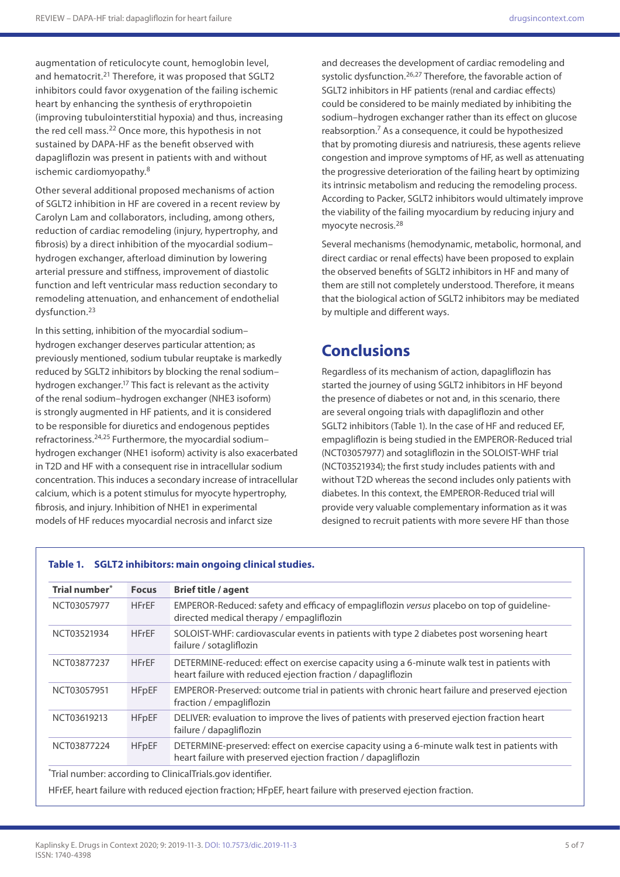augmentation of reticulocyte count, hemoglobin level, and hematocrit.<sup>21</sup> Therefore, it was proposed that SGLT2 inhibitors could favor oxygenation of the failing ischemic heart by enhancing the synthesis of erythropoietin (improving tubulointerstitial hypoxia) and thus, increasing the red cell mass.22 Once more, this hypothesis in not sustained by DAPA-HF as the benefit observed with dapagliflozin was present in patients with and without ischemic cardiomyopathy.8

Other several additional proposed mechanisms of action of SGLT2 inhibition in HF are covered in a recent review by Carolyn Lam and collaborators, including, among others, reduction of cardiac remodeling (injury, hypertrophy, and fibrosis) by a direct inhibition of the myocardial sodium– hydrogen exchanger, afterload diminution by lowering arterial pressure and stiffness, improvement of diastolic function and left ventricular mass reduction secondary to remodeling attenuation, and enhancement of endothelial dysfunction.23

In this setting, inhibition of the myocardial sodium– hydrogen exchanger deserves particular attention; as previously mentioned, sodium tubular reuptake is markedly reduced by SGLT2 inhibitors by blocking the renal sodium– hydrogen exchanger.17 This fact is relevant as the activity of the renal sodium–hydrogen exchanger (NHE3 isoform) is strongly augmented in HF patients, and it is considered to be responsible for diuretics and endogenous peptides refractoriness.24,25 Furthermore, the myocardial sodium– hydrogen exchanger (NHE1 isoform) activity is also exacerbated in T2D and HF with a consequent rise in intracellular sodium concentration. This induces a secondary increase of intracellular calcium, which is a potent stimulus for myocyte hypertrophy, fibrosis, and injury. Inhibition of NHE1 in experimental models of HF reduces myocardial necrosis and infarct size

and decreases the development of cardiac remodeling and systolic dysfunction.<sup>26,27</sup> Therefore, the favorable action of SGLT2 inhibitors in HF patients (renal and cardiac effects) could be considered to be mainly mediated by inhibiting the sodium–hydrogen exchanger rather than its effect on glucose reabsorption.7 As a consequence, it could be hypothesized that by promoting diuresis and natriuresis, these agents relieve congestion and improve symptoms of HF, as well as attenuating the progressive deterioration of the failing heart by optimizing its intrinsic metabolism and reducing the remodeling process. According to Packer, SGLT2 inhibitors would ultimately improve the viability of the failing myocardium by reducing injury and myocyte necrosis.28

Several mechanisms (hemodynamic, metabolic, hormonal, and direct cardiac or renal effects) have been proposed to explain the observed benefits of SGLT2 inhibitors in HF and many of them are still not completely understood. Therefore, it means that the biological action of SGLT2 inhibitors may be mediated by multiple and different ways.

## **Conclusions**

Regardless of its mechanism of action, dapagliflozin has started the journey of using SGLT2 inhibitors in HF beyond the presence of diabetes or not and, in this scenario, there are several ongoing trials with dapagliflozin and other SGLT2 inhibitors (Table 1). In the case of HF and reduced EF, empagliflozin is being studied in the EMPEROR-Reduced trial (NCT03057977) and sotagliflozin in the SOLOIST-WHF trial (NCT03521934); the first study includes patients with and without T2D whereas the second includes only patients with diabetes. In this context, the EMPEROR-Reduced trial will provide very valuable complementary information as it was designed to recruit patients with more severe HF than those

#### **Table 1. SGLT2 inhibitors: main ongoing clinical studies.**

| EMPEROR-Reduced: safety and efficacy of empagliflozin versus placebo on top of guideline-<br><b>HFrEF</b><br>directed medical therapy / empagliflozin<br>SOLOIST-WHF: cardiovascular events in patients with type 2 diabetes post worsening heart<br><b>HFrEF</b><br>failure / sotagliflozin |
|----------------------------------------------------------------------------------------------------------------------------------------------------------------------------------------------------------------------------------------------------------------------------------------------|
|                                                                                                                                                                                                                                                                                              |
|                                                                                                                                                                                                                                                                                              |
| DETERMINE-reduced: effect on exercise capacity using a 6-minute walk test in patients with<br><b>HFrEF</b><br>heart failure with reduced ejection fraction / dapagliflozin                                                                                                                   |
| EMPEROR-Preserved: outcome trial in patients with chronic heart failure and preserved ejection<br><b>HFpEF</b><br>fraction / empagliflozin                                                                                                                                                   |
| DELIVER: evaluation to improve the lives of patients with preserved ejection fraction heart<br><b>HFpEF</b><br>failure / dapagliflozin                                                                                                                                                       |
| DETERMINE-preserved: effect on exercise capacity using a 6-minute walk test in patients with<br><b>HFpEF</b><br>heart failure with preserved ejection fraction / dapagliflozin                                                                                                               |
| "Trial number: according to ClinicalTrials.gov identifier.                                                                                                                                                                                                                                   |

HFrEF, heart failure with reduced ejection fraction; HFpEF, heart failure with preserved ejection fraction.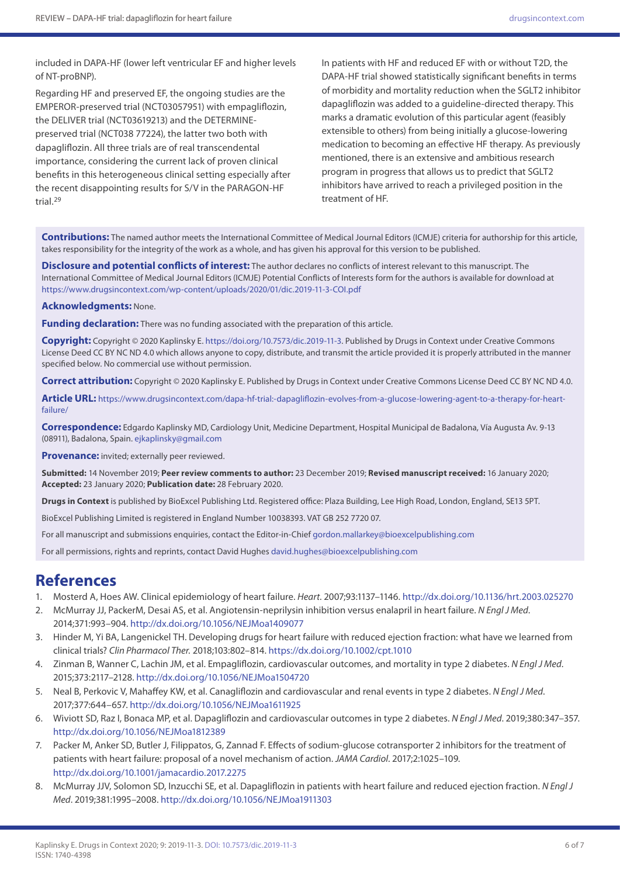included in DAPA-HF (lower left ventricular EF and higher levels of NT-proBNP).

Regarding HF and preserved EF, the ongoing studies are the EMPEROR-preserved trial (NCT03057951) with empagliflozin, the DELIVER trial (NCT03619213) and the DETERMINEpreserved trial (NCT038 77224), the latter two both with dapagliflozin. All three trials are of real transcendental importance, considering the current lack of proven clinical benefits in this heterogeneous clinical setting especially after the recent disappointing results for S/V in the PARAGON-HF trial.29

In patients with HF and reduced EF with or without T2D, the DAPA-HF trial showed statistically significant benefits in terms of morbidity and mortality reduction when the SGLT2 inhibitor dapagliflozin was added to a guideline-directed therapy. This marks a dramatic evolution of this particular agent (feasibly extensible to others) from being initially a glucose-lowering medication to becoming an effective HF therapy. As previously mentioned, there is an extensive and ambitious research program in progress that allows us to predict that SGLT2 inhibitors have arrived to reach a privileged position in the treatment of HF.

**Contributions:** The named author meets the International Committee of Medical Journal Editors (ICMJE) criteria for authorship for this article, takes responsibility for the integrity of the work as a whole, and has given his approval for this version to be published.

**Disclosure and potential conflicts of interest:** The author declares no conflicts of interest relevant to this manuscript. The International Committee of Medical Journal Editors (ICMJE) Potential Conflicts of Interests form for the authors is available for download at <https://www.drugsincontext.com/wp-content/uploads/2020/01/dic.2019-11-3-COI.pdf>

#### **Acknowledgments:** None.

**Funding declaration:** There was no funding associated with the preparation of this article.

**Copyright:** Copyright © 2020 Kaplinsky E.<https://doi.org/10.7573/dic.2019-11-3>. Published by Drugs in Context under Creative Commons License Deed CC BY NC ND 4.0 which allows anyone to copy, distribute, and transmit the article provided it is properly attributed in the manner specified below. No commercial use without permission.

**Correct attribution:** Copyright © 2020 Kaplinsky E. Published by Drugs in Context under Creative Commons License Deed CC BY NC ND 4.0.

**Article URL:** [https://www.drugsincontext.com/dapa-hf-trial:-dapagliflozin-evolves-from-a-glucose-lowering-agent-to-a-therapy-for-heart](https://www.drugsincontext.com/dapa-hf-trial:-dapagliflozin-evolves-from-a-glucose-lowering-agent-to-a-therapy-for-heart-failure/)[failure/](https://www.drugsincontext.com/dapa-hf-trial:-dapagliflozin-evolves-from-a-glucose-lowering-agent-to-a-therapy-for-heart-failure/)

**Correspondence:** Edgardo Kaplinsky MD, Cardiology Unit, Medicine Department, Hospital Municipal de Badalona, Vía Augusta Av. 9-13 (08911), Badalona, Spain. [ejkaplinsky@gmail.com](mailto:ejkaplinsky@gmail.com)

**Provenance:** invited; externally peer reviewed.

**Submitted:** 14 November 2019; **Peer review comments to author:** 23 December 2019; **Revised manuscript received:** 16 January 2020; **Accepted:** 23 January 2020; **Publication date:** 28 February 2020.

**Drugs in Context** is published by BioExcel Publishing Ltd. Registered office: Plaza Building, Lee High Road, London, England, SE13 5PT.

BioExcel Publishing Limited is registered in England Number 10038393. VAT GB 252 7720 07.

For all manuscript and submissions enquiries, contact the Editor-in-Chief [gordon.mallarkey@bioexcelpublishing.com](mailto:gordon.mallarkey@bioexcelpublishing.com)

For all permissions, rights and reprints, contact David Hughes [david.hughes@bioexcelpublishing.com](mailto:david.hughes@bioexcelpublishing.com)

### **References**

- 1. Mosterd A, Hoes AW. Clinical epidemiology of heart failure. *Heart*. 2007;93:1137–1146. <http://dx.doi.org/10.1136/hrt.2003.025270>
- 2. McMurray JJ, PackerM, Desai AS, et al. Angiotensin-neprilysin inhibition versus enalapril in heart failure. *N Engl J Med*. 2014;371:993–904.<http://dx.doi.org/10.1056/NEJMoa1409077>
- 3. Hinder M, Yi BA, Langenickel TH. Developing drugs for heart failure with reduced ejection fraction: what have we learned from clinical trials? *Clin Pharmacol Ther.* 2018;103:802–814. <https://dx.doi.org/10.1002/cpt.1010>
- 4. Zinman B, Wanner C, Lachin JM, et al. Empagliflozin, cardiovascular outcomes, and mortality in type 2 diabetes. *N Engl J Med*. 2015;373:2117–2128.<http://dx.doi.org/10.1056/NEJMoa1504720>
- 5. Neal B, Perkovic V, Mahaffey KW, et al. Canagliflozin and cardiovascular and renal events in type 2 diabetes. *N Engl J Med*. 2017;377:644–657. <http://dx.doi.org/10.1056/NEJMoa1611925>
- 6. Wiviott SD, Raz I, Bonaca MP, et al. Dapagliflozin and cardiovascular outcomes in type 2 diabetes. *N Engl J Med*. 2019;380:347–357. <http://dx.doi.org/10.1056/NEJMoa1812389>
- 7. Packer M, Anker SD, Butler J, Filippatos, G, Zannad F. Effects of sodium-glucose cotransporter 2 inhibitors for the treatment of patients with heart failure: proposal of a novel mechanism of action. *JAMA Cardiol*. 2017;2:1025–109. <http://dx.doi.org/10.1001/jamacardio.2017.2275>
- 8. McMurray JJV, Solomon SD, Inzucchi SE, et al. Dapagliflozin in patients with heart failure and reduced ejection fraction. *N Engl J Med*. 2019;381:1995–2008.<http://dx.doi.org/10.1056/NEJMoa1911303>